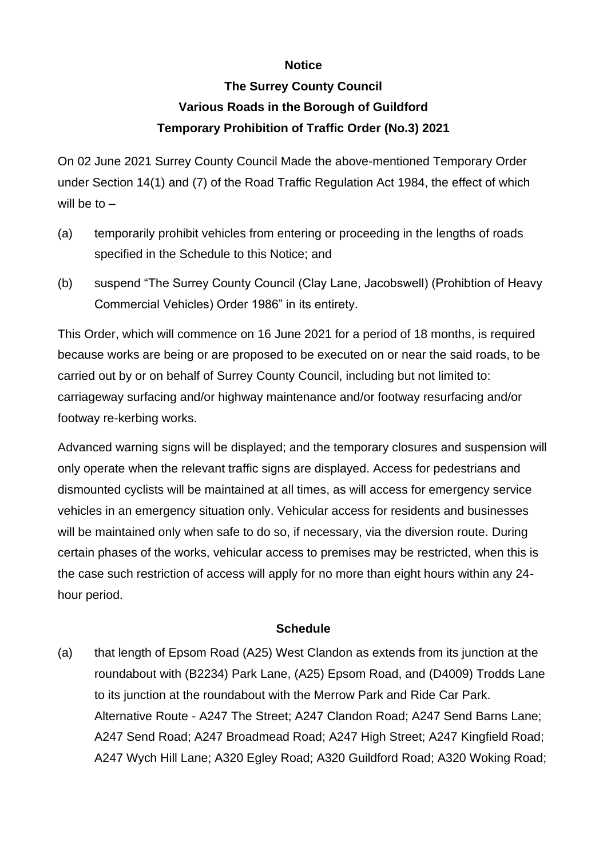## **Notice**

## **The Surrey County Council Various Roads in the Borough of Guildford Temporary Prohibition of Traffic Order (No.3) 2021**

On 02 June 2021 Surrey County Council Made the above-mentioned Temporary Order under Section 14(1) and (7) of the Road Traffic Regulation Act 1984, the effect of which will be to –

- (a) temporarily prohibit vehicles from entering or proceeding in the lengths of roads specified in the Schedule to this Notice; and
- (b) suspend "The Surrey County Council (Clay Lane, Jacobswell) (Prohibtion of Heavy Commercial Vehicles) Order 1986" in its entirety.

This Order, which will commence on 16 June 2021 for a period of 18 months, is required because works are being or are proposed to be executed on or near the said roads, to be carried out by or on behalf of Surrey County Council, including but not limited to: carriageway surfacing and/or highway maintenance and/or footway resurfacing and/or footway re-kerbing works.

Advanced warning signs will be displayed; and the temporary closures and suspension will only operate when the relevant traffic signs are displayed. Access for pedestrians and dismounted cyclists will be maintained at all times, as will access for emergency service vehicles in an emergency situation only. Vehicular access for residents and businesses will be maintained only when safe to do so, if necessary, via the diversion route. During certain phases of the works, vehicular access to premises may be restricted, when this is the case such restriction of access will apply for no more than eight hours within any 24 hour period.

## **Schedule**

(a) that length of Epsom Road (A25) West Clandon as extends from its junction at the roundabout with (B2234) Park Lane, (A25) Epsom Road, and (D4009) Trodds Lane to its junction at the roundabout with the Merrow Park and Ride Car Park. Alternative Route - A247 The Street; A247 Clandon Road; A247 Send Barns Lane; A247 Send Road; A247 Broadmead Road; A247 High Street; A247 Kingfield Road; A247 Wych Hill Lane; A320 Egley Road; A320 Guildford Road; A320 Woking Road;